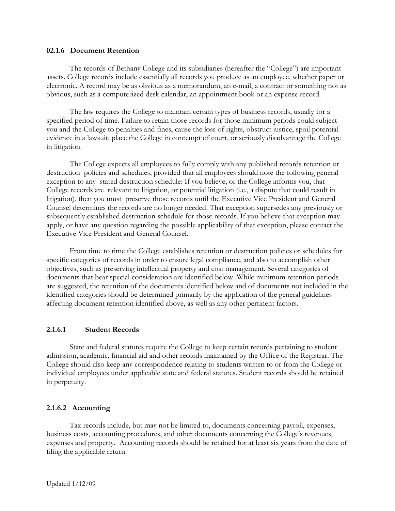# **02.1.6 Document Retention**

The records of Bethany College and its subsidiaries (hereafter the "College") are important assets. College records include essentially all records you produce as an employee, whether paper or electronic. A record may be as obvious as a memorandum, an e-mail, a contract or something not as obvious, such as a computerized desk calendar, an appointment book or an expense record.

The law requires the College to maintain certain types of business records, usually for a specified period of time. Failure to retain those records for those minimum periods could subject you and the College to penalties and fines, cause the loss of rights, obstruct justice, spoil potential evidence in a lawsuit, place the College in contempt of court, or seriously disadvantage the College in litigation.

The College expects all employees to fully comply with any published records retention or destruction policies and schedules, provided that all employees should note the following general exception to any stated destruction schedule: If you believe, or the College informs you, that College records are relevant to litigation, or potential litigation (i.e., a dispute that could result in litigation), then you must preserve those records until the Executive Vice President and General Counsel determines the records are no longer needed. That exception supersedes any previously or subsequently established destruction schedule for those records. If you believe that exception may apply, or have any question regarding the possible applicability of that exception, please contact the Executive Vice President and General Counsel.

From time to time the College establishes retention or destruction policies or schedules for specific categories of records in order to ensure legal compliance, and also to accomplish other objectives, such as preserving intellectual property and cost management. Several categories of documents that bear special consideration are identified below. While minimum retention periods are suggested, the retention of the documents identified below and of documents not included in the identified categories should be determined primarily by the application of the general guidelines affecting document retention identified above, as well as any other pertinent factors.

# **2.1.6.1 Student Records**

State and federal statutes require the College to keep certain records pertaining to student admission, academic, financial aid and other records maintained by the Office of the Registrar. The College should also keep any correspondence relating to students written to or from the College or individual employees under applicable state and federal statutes. Student records should be retained in perpetuity.

# **2.1.6.2 Accounting**

Tax records include, but may not be limited to, documents concerning payroll, expenses, business costs, accounting procedures, and other documents concerning the College's revenues, expenses and property. Accounting records should be retained for at least six years from the date of filing the applicable return.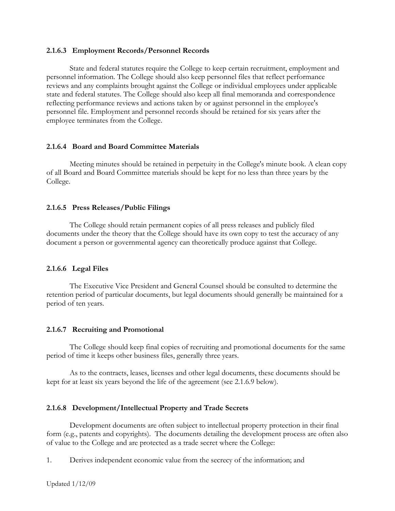# **2.1.6.3 Employment Records/Personnel Records**

State and federal statutes require the College to keep certain recruitment, employment and personnel information. The College should also keep personnel files that reflect performance reviews and any complaints brought against the College or individual employees under applicable state and federal statutes. The College should also keep all final memoranda and correspondence reflecting performance reviews and actions taken by or against personnel in the employee's personnel file. Employment and personnel records should be retained for six years after the employee terminates from the College.

## **2.1.6.4 Board and Board Committee Materials**

Meeting minutes should be retained in perpetuity in the College's minute book. A clean copy of all Board and Board Committee materials should be kept for no less than three years by the College.

## **2.1.6.5 Press Releases/Public Filings**

The College should retain permanent copies of all press releases and publicly filed documents under the theory that the College should have its own copy to test the accuracy of any document a person or governmental agency can theoretically produce against that College.

#### **2.1.6.6 Legal Files**

The Executive Vice President and General Counsel should be consulted to determine the retention period of particular documents, but legal documents should generally be maintained for a period of ten years.

## **2.1.6.7 Recruiting and Promotional**

The College should keep final copies of recruiting and promotional documents for the same period of time it keeps other business files, generally three years.

As to the contracts, leases, licenses and other legal documents, these documents should be kept for at least six years beyond the life of the agreement (see 2.1.6.9 below).

## **2.1.6.8 Development/Intellectual Property and Trade Secrets**

Development documents are often subject to intellectual property protection in their final form (e.g., patents and copyrights). The documents detailing the development process are often also of value to the College and are protected as a trade secret where the College:

1. Derives independent economic value from the secrecy of the information; and